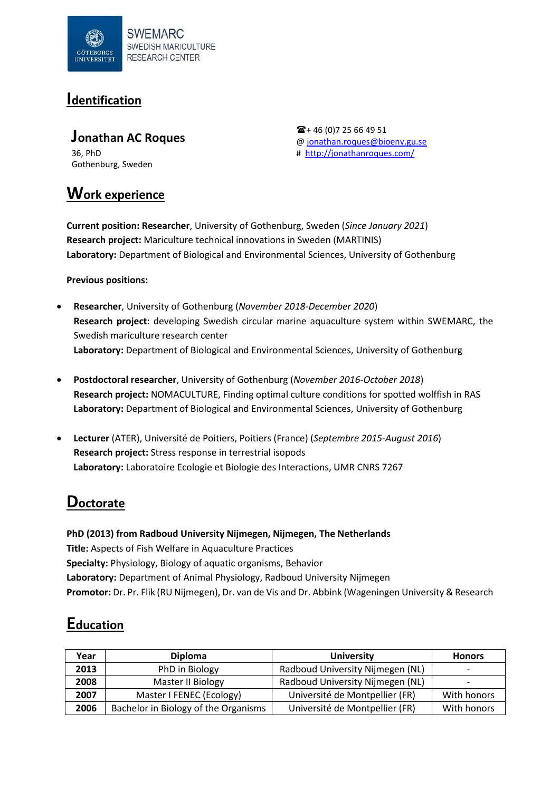

### **Identification**

**Jonathan AC Roques** 36, PhD Gothenburg, Sweden

**Work experience**

 $\mathbf{\widehat{m}}$  + 46 (0)7 25 66 49 51 [@ jonathan.roques@bioenv.gu.se](mailto:jonathan.roques@bioenv.gu.se) #<http://jonathanroques.com/>

**Current position: Researcher**, University of Gothenburg, Sweden (*Since January 2021*) **Research project:** Mariculture technical innovations in Sweden (MARTINIS) **Laboratory:** Department of Biological and Environmental Sciences, University of Gothenburg

**Previous positions:** 

- **Researcher**, University of Gothenburg (*November 2018-December 2020*) **Research project:** developing Swedish circular marine aquaculture system within SWEMARC, the Swedish mariculture research center **Laboratory:** Department of Biological and Environmental Sciences, University of Gothenburg
- **Postdoctoral researcher**, University of Gothenburg (*November 2016-October 2018*) **Research project:** NOMACULTURE, Finding optimal culture conditions for spotted wolffish in RAS **Laboratory:** Department of Biological and Environmental Sciences, University of Gothenburg
- **Lecturer** (ATER), Université de Poitiers, Poitiers (France) (*Septembre 2015-August 2016*) **Research project:** Stress response in terrestrial isopods **Laboratory:** Laboratoire Ecologie et Biologie des Interactions, UMR CNRS 7267

### **Doctorate**

**PhD (2013) from Radboud University Nijmegen, Nijmegen, The Netherlands Title:** Aspects of Fish Welfare in Aquaculture Practices **Specialty:** Physiology, Biology of aquatic organisms, Behavior **Laboratory:** Department of Animal Physiology, Radboud University Nijmegen **Promotor:** Dr. Pr. Flik (RU Nijmegen), Dr. van de Vis and Dr. Abbink (Wageningen University & Research

## **Education**

| Year | <b>Diploma</b><br><b>University</b>  |                                  | <b>Honors</b>            |
|------|--------------------------------------|----------------------------------|--------------------------|
| 2013 | PhD in Biology                       | Radboud University Nijmegen (NL) | $\overline{\phantom{0}}$ |
| 2008 | Master II Biology                    | Radboud University Nijmegen (NL) | -                        |
| 2007 | Master I FENEC (Ecology)             | Université de Montpellier (FR)   | With honors              |
| 2006 | Bachelor in Biology of the Organisms | Université de Montpellier (FR)   | With honors              |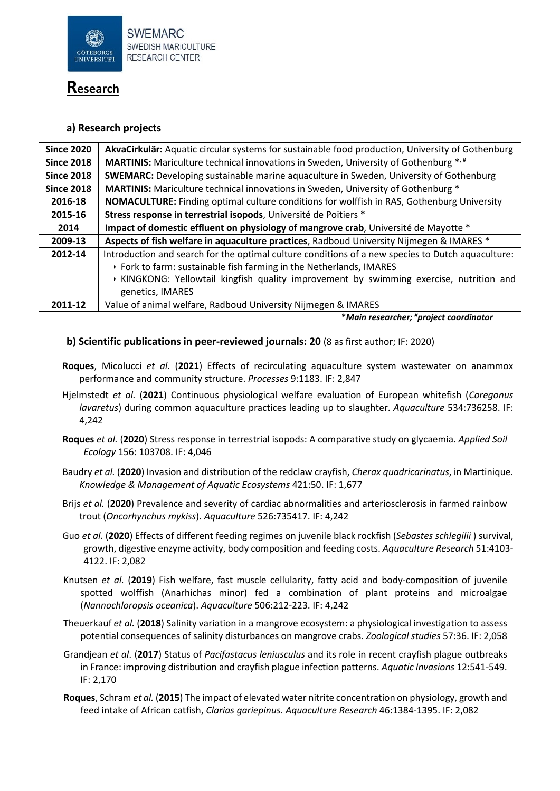

### **Research**

#### **a) Research projects**

| <b>Since 2020</b> | AkvaCirkulär: Aquatic circular systems for sustainable food production, University of Gothenburg  |  |  |
|-------------------|---------------------------------------------------------------------------------------------------|--|--|
| <b>Since 2018</b> | MARTINIS: Mariculture technical innovations in Sweden, University of Gothenburg *.#               |  |  |
| <b>Since 2018</b> | <b>SWEMARC:</b> Developing sustainable marine aquaculture in Sweden, University of Gothenburg     |  |  |
| <b>Since 2018</b> | MARTINIS: Mariculture technical innovations in Sweden, University of Gothenburg *                 |  |  |
| 2016-18           | <b>NOMACULTURE:</b> Finding optimal culture conditions for wolffish in RAS, Gothenburg University |  |  |
| 2015-16           | Stress response in terrestrial isopods, Université de Poitiers *                                  |  |  |
| 2014              | Impact of domestic effluent on physiology of mangrove crab, Université de Mayotte *               |  |  |
| 2009-13           | Aspects of fish welfare in aquaculture practices, Radboud University Nijmegen & IMARES *          |  |  |
| 2012-14           | Introduction and search for the optimal culture conditions of a new species to Dutch aquaculture: |  |  |
|                   | ▶ Fork to farm: sustainable fish farming in the Netherlands, IMARES                               |  |  |
|                   | KINGKONG: Yellowtail kingfish quality improvement by swimming exercise, nutrition and             |  |  |
|                   | genetics, IMARES                                                                                  |  |  |
| 2011-12           | Value of animal welfare, Radboud University Nijmegen & IMARES                                     |  |  |

**\****Main researcher; # project coordinator*

#### **b) Scientific publications in peer-reviewed journals: 20** (8 as first author; IF: 2020)

- **Roques**, Micolucci *et al.* (**2021**) Effects of recirculating aquaculture system wastewater on anammox performance and community structure. *Processes* 9:1183. IF: 2,847
- Hjelmstedt *et al.* (**2021**) Continuous physiological welfare evaluation of European whitefish (*Coregonus lavaretus*) during common aquaculture practices leading up to slaughter. *Aquaculture* 534:736258. IF: 4,242
- **Roques** *et al.* (**2020**) Stress response in terrestrial isopods: A comparative study on glycaemia. *Applied Soil Ecology* 156: 103708. IF: 4,046
- Baudry *et al.* (**2020**) Invasion and distribution of the redclaw crayfish, *Cherax quadricarinatus*, in Martinique. *Knowledge & Management of Aquatic Ecosystems* 421:50. IF: 1,677
- Brijs *et al.* (**2020**) Prevalence and severity of cardiac abnormalities and arteriosclerosis in farmed rainbow trout (*Oncorhynchus mykiss*). *Aquaculture* 526:735417. IF: 4,242
- Guo *et al.* (**2020**) Effects of different feeding regimes on juvenile black rockfish (*Sebastes schlegilii* ) survival, growth, digestive enzyme activity, body composition and feeding costs. *Aquaculture Research* 51:4103- 4122. IF: 2,082
- Knutsen *et al.* (**2019**) Fish welfare, fast muscle cellularity, fatty acid and body-composition of juvenile spotted wolffish (Anarhichas minor) fed a combination of plant proteins and microalgae (*Nannochloropsis oceanica*). *Aquaculture* 506:212-223. IF: 4,242
- Theuerkauf *et al.* (**2018**) Salinity variation in a mangrove ecosystem: a physiological investigation to assess potential consequences of salinity disturbances on mangrove crabs. *Zoological studies* 57:36. IF: 2,058
- Grandjean *et al*. (**2017**) Status of *Pacifastacus leniusculus* and its role in recent crayfish plague outbreaks in France: improving distribution and crayfish plague infection patterns. *Aquatic Invasions* 12:541-549. IF: 2,170
- **Roques**, Schram *et al.* (**2015**) The impact of elevated water nitrite concentration on physiology, growth and feed intake of African catfish, *Clarias gariepinus*. *Aquaculture Research* 46:1384-1395. IF: 2,082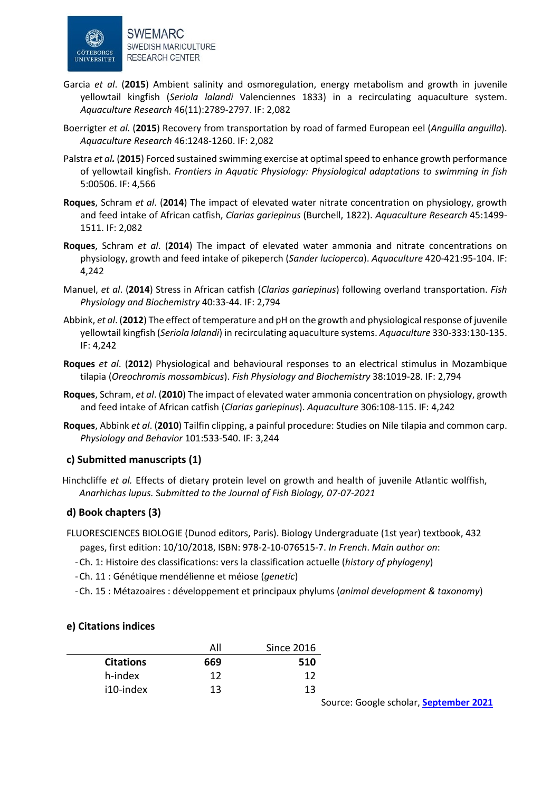

- Garcia *et al*. (**2015**) Ambient salinity and osmoregulation, energy metabolism and growth in juvenile yellowtail kingfish (*Seriola lalandi* Valenciennes 1833) in a recirculating aquaculture system. *Aquaculture Research* 46(11):2789-2797. IF: 2,082
- Boerrigter *et al.* (**2015**) Recovery from transportation by road of farmed European eel (*Anguilla anguilla*). *Aquaculture Research* 46:1248-1260. IF: 2,082
- Palstra *et al.* (**2015**) Forced sustained swimming exercise at optimal speed to enhance growth performance of yellowtail kingfish. *Frontiers in Aquatic Physiology: Physiological adaptations to swimming in fish*  5:00506. IF: 4,566
- **Roques**, Schram *et al*. (**2014**) The impact of elevated water nitrate concentration on physiology, growth and feed intake of African catfish, *Clarias gariepinus* (Burchell, 1822). *Aquaculture Research* 45:1499- 1511. IF: 2,082
- **Roques**, Schram *et al*. (**2014**) The impact of elevated water ammonia and nitrate concentrations on physiology, growth and feed intake of pikeperch (*Sander lucioperca*). *Aquaculture* 420-421:95-104. IF: 4,242
- Manuel, *et al*. (**2014**) Stress in African catfish (*Clarias gariepinus*) following overland transportation. *Fish Physiology and Biochemistry* 40:33-44. IF: 2,794
- Abbink, *et al*. (**2012**) The effect of temperature and pH on the growth and physiological response of juvenile yellowtail kingfish (*Seriola lalandi*) in recirculating aquaculture systems. *Aquaculture* 330-333:130-135. IF: 4,242
- **Roques** *et al*. (**2012**) Physiological and behavioural responses to an electrical stimulus in Mozambique tilapia (*Oreochromis mossambicus*). *Fish Physiology and Biochemistry* 38:1019-28. IF: 2,794
- **Roques**, Schram, *et al*. (**2010**) The impact of elevated water ammonia concentration on physiology, growth and feed intake of African catfish (*Clarias gariepinus*). *Aquaculture* 306:108-115. IF: 4,242
- **Roques**, Abbink *et al*. (**2010**) Tailfin clipping, a painful procedure: Studies on Nile tilapia and common carp. *Physiology and Behavior* 101:533-540. IF: 3,244

#### **c) Submitted manuscripts (1)**

Hinchcliffe *et al.* Effects of dietary protein level on growth and health of juvenile Atlantic wolffish, *Anarhichas lupus.* S*ubmitted to the Journal of Fish Biology, 07-07-2021*

#### **d) Book chapters (3)**

- FLUORESCIENCES BIOLOGIE (Dunod editors, Paris). Biology Undergraduate (1st year) textbook, 432 pages, first edition: 10/10/2018, ISBN: 978-2-10-076515-7. *In French*. *Main author on*:
	- -Ch. 1: Histoire des classifications: vers la classification actuelle (*history of phylogeny*)
	- -Ch. 11 : Génétique mendélienne et méiose (*genetic*)
	- -Ch. 15 : Métazoaires : développement et principaux phylums (*animal development & taxonomy*)

#### **e) Citations indices**

|                  | All | <b>Since 2016</b> |
|------------------|-----|-------------------|
| <b>Citations</b> | 669 | 510               |
| h-index          | 12  | 12                |
| i10-index        | 13  | 13                |

Source: Google scholar, **[September](https://scholar.google.se/citations?user=UtVuunwAAAAJ&hl=fr&oi=ao) 2021**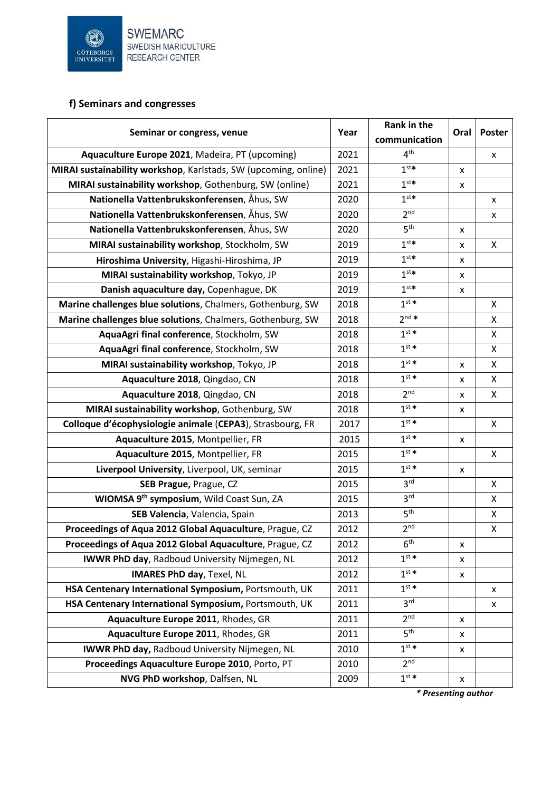

### **f) Seminars and congresses**

| Seminar or congress, venue                                      |      | Rank in the<br>communication | Oral | Poster       |
|-----------------------------------------------------------------|------|------------------------------|------|--------------|
| Aquaculture Europe 2021, Madeira, PT (upcoming)                 | 2021 | 4 <sup>th</sup>              |      | x            |
| MIRAI sustainability workshop, Karlstads, SW (upcoming, online) | 2021 | 1 <sup>st</sup>              | X    |              |
| MIRAI sustainability workshop, Gothenburg, SW (online)          | 2021 | 1 <sup>st</sup>              | X    |              |
| Nationella Vattenbrukskonferensen, Åhus, SW                     | 2020 | 1 <sup>st</sup>              |      | x            |
| Nationella Vattenbrukskonferensen, Åhus, SW                     | 2020 | 2 <sup>nd</sup>              |      | x            |
| Nationella Vattenbrukskonferensen, Åhus, SW                     | 2020 | 5 <sup>th</sup>              | х    |              |
| MIRAI sustainability workshop, Stockholm, SW                    | 2019 | 1 <sup>st</sup>              | X    | X            |
| Hiroshima University, Higashi-Hiroshima, JP                     | 2019 | 1 <sup>st</sup>              | x    |              |
| MIRAI sustainability workshop, Tokyo, JP                        | 2019 | 1 <sup>st</sup>              | x    |              |
| Danish aquaculture day, Copenhague, DK                          | 2019 | 1 <sup>st</sup>              | X    |              |
| Marine challenges blue solutions, Chalmers, Gothenburg, SW      | 2018 | $1^{st}$ *                   |      | X            |
| Marine challenges blue solutions, Chalmers, Gothenburg, SW      | 2018 | $2^{nd*}$                    |      | X            |
| AquaAgri final conference, Stockholm, SW                        | 2018 | $1^{st}$ *                   |      | X            |
| AquaAgri final conference, Stockholm, SW                        | 2018 | $1^{st}$ *                   |      | X            |
| MIRAI sustainability workshop, Tokyo, JP                        | 2018 | $1^{st}$ *                   | x    | X            |
| Aquaculture 2018, Qingdao, CN                                   | 2018 | $1^{st}$ *                   | x    | X            |
| Aquaculture 2018, Qingdao, CN                                   | 2018 | 2 <sup>nd</sup>              | x    | X            |
| MIRAI sustainability workshop, Gothenburg, SW                   | 2018 | $1^{st}$ *                   | x    |              |
| Colloque d'écophysiologie animale (CEPA3), Strasbourg, FR       | 2017 | 1 <sup>st</sup>              |      | X            |
| Aquaculture 2015, Montpellier, FR                               | 2015 | $1^{st}$ *                   | х    |              |
| Aquaculture 2015, Montpellier, FR                               | 2015 | $1^{st}$ *                   |      | $\mathsf{X}$ |
| Liverpool University, Liverpool, UK, seminar                    | 2015 | $1^{st}$ *                   | X    |              |
| SEB Prague, Prague, CZ                                          | 2015 | 3 <sup>rd</sup>              |      | X            |
| WIOMSA 9th symposium, Wild Coast Sun, ZA                        | 2015 | 3 <sup>rd</sup>              |      | X            |
| SEB Valencia, Valencia, Spain                                   | 2013 | 5 <sup>th</sup>              |      | X            |
| Proceedings of Aqua 2012 Global Aquaculture, Prague, CZ         | 2012 | 2 <sup>nd</sup>              |      | X            |
| Proceedings of Aqua 2012 Global Aquaculture, Prague, CZ         | 2012 | 6 <sup>th</sup>              | x    |              |
| <b>IWWR PhD day, Radboud University Nijmegen, NL</b>            | 2012 | $1^{st*}$                    | X    |              |
| <b>IMARES PhD day, Texel, NL</b>                                | 2012 | $1^{st}$ *                   | x    |              |
| HSA Centenary International Symposium, Portsmouth, UK           | 2011 | $1^{st}$ *                   |      | x            |
| HSA Centenary International Symposium, Portsmouth, UK           | 2011 | 3 <sup>rd</sup>              |      | X            |
| Aquaculture Europe 2011, Rhodes, GR                             | 2011 | 2 <sup>nd</sup>              | X    |              |
| Aquaculture Europe 2011, Rhodes, GR                             | 2011 | 5 <sup>th</sup>              | X    |              |
| IWWR PhD day, Radboud University Nijmegen, NL                   | 2010 | $1^{st*}$                    | X    |              |
| Proceedings Aquaculture Europe 2010, Porto, PT                  | 2010 | 2 <sub>nd</sub>              |      |              |
| NVG PhD workshop, Dalfsen, NL                                   | 2009 | $1^{st*}$                    | x    |              |

*\* Presenting author*